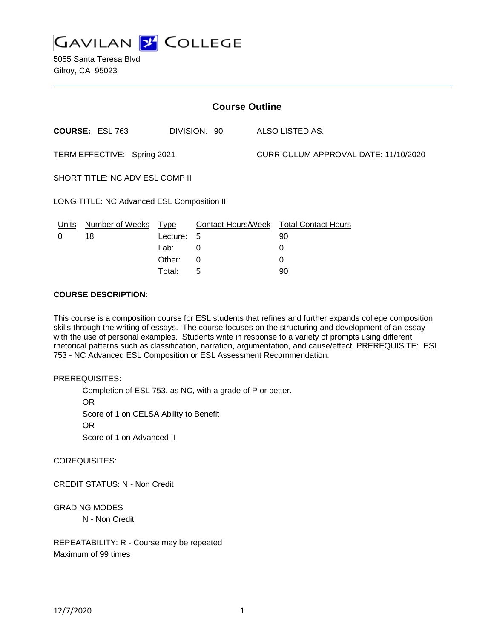

5055 Santa Teresa Blvd Gilroy, CA 95023

| <b>Course Outline</b>                      |                        |             |              |                                      |                                        |
|--------------------------------------------|------------------------|-------------|--------------|--------------------------------------|----------------------------------------|
|                                            | <b>COURSE: ESL 763</b> |             | DIVISION: 90 |                                      | <b>ALSO LISTED AS:</b>                 |
| TERM EFFECTIVE: Spring 2021                |                        |             |              | CURRICULUM APPROVAL DATE: 11/10/2020 |                                        |
| SHORT TITLE: NC ADV ESL COMP II            |                        |             |              |                                      |                                        |
| LONG TITLE: NC Advanced ESL Composition II |                        |             |              |                                      |                                        |
| <u>Units</u>                               | <b>Number of Weeks</b> | <u>Type</u> |              |                                      | Contact Hours/Week Total Contact Hours |
| 0                                          | 18                     | Lecture:    | -5           |                                      | 90                                     |
|                                            |                        | Lab:        | 0            |                                      | 0                                      |
|                                            |                        | Other:      | 0            |                                      | 0                                      |
|                                            |                        | Total:      | 5            |                                      | 90                                     |

### **COURSE DESCRIPTION:**

This course is a composition course for ESL students that refines and further expands college composition skills through the writing of essays. The course focuses on the structuring and development of an essay with the use of personal examples. Students write in response to a variety of prompts using different rhetorical patterns such as classification, narration, argumentation, and cause/effect. PREREQUISITE: ESL 753 - NC Advanced ESL Composition or ESL Assessment Recommendation.

#### PREREQUISITES:

Completion of ESL 753, as NC, with a grade of P or better. OR Score of 1 on CELSA Ability to Benefit OR Score of 1 on Advanced II

COREQUISITES:

CREDIT STATUS: N - Non Credit

GRADING MODES

N - Non Credit

REPEATABILITY: R - Course may be repeated Maximum of 99 times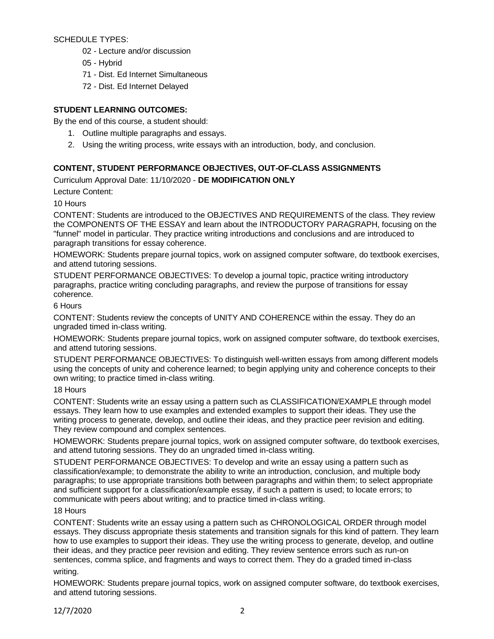SCHEDULE TYPES:

- 02 Lecture and/or discussion
- 05 Hybrid
- 71 Dist. Ed Internet Simultaneous
- 72 Dist. Ed Internet Delayed

# **STUDENT LEARNING OUTCOMES:**

By the end of this course, a student should:

- 1. Outline multiple paragraphs and essays.
- 2. Using the writing process, write essays with an introduction, body, and conclusion.

# **CONTENT, STUDENT PERFORMANCE OBJECTIVES, OUT-OF-CLASS ASSIGNMENTS**

Curriculum Approval Date: 11/10/2020 - **DE MODIFICATION ONLY**

Lecture Content:

10 Hours

CONTENT: Students are introduced to the OBJECTIVES AND REQUIREMENTS of the class. They review the COMPONENTS OF THE ESSAY and learn about the INTRODUCTORY PARAGRAPH, focusing on the "funnel" model in particular. They practice writing introductions and conclusions and are introduced to paragraph transitions for essay coherence.

HOMEWORK: Students prepare journal topics, work on assigned computer software, do textbook exercises, and attend tutoring sessions.

STUDENT PERFORMANCE OBJECTIVES: To develop a journal topic, practice writing introductory paragraphs, practice writing concluding paragraphs, and review the purpose of transitions for essay coherence.

# 6 Hours

CONTENT: Students review the concepts of UNITY AND COHERENCE within the essay. They do an ungraded timed in-class writing.

HOMEWORK: Students prepare journal topics, work on assigned computer software, do textbook exercises, and attend tutoring sessions.

STUDENT PERFORMANCE OBJECTIVES: To distinguish well-written essays from among different models using the concepts of unity and coherence learned; to begin applying unity and coherence concepts to their own writing; to practice timed in-class writing.

## 18 Hours

CONTENT: Students write an essay using a pattern such as CLASSIFICATION/EXAMPLE through model essays. They learn how to use examples and extended examples to support their ideas. They use the writing process to generate, develop, and outline their ideas, and they practice peer revision and editing. They review compound and complex sentences.

HOMEWORK: Students prepare journal topics, work on assigned computer software, do textbook exercises, and attend tutoring sessions. They do an ungraded timed in-class writing.

STUDENT PERFORMANCE OBJECTIVES: To develop and write an essay using a pattern such as classification/example; to demonstrate the ability to write an introduction, conclusion, and multiple body paragraphs; to use appropriate transitions both between paragraphs and within them; to select appropriate and sufficient support for a classification/example essay, if such a pattern is used; to locate errors; to communicate with peers about writing; and to practice timed in-class writing.

## 18 Hours

CONTENT: Students write an essay using a pattern such as CHRONOLOGICAL ORDER through model essays. They discuss appropriate thesis statements and transition signals for this kind of pattern. They learn how to use examples to support their ideas. They use the writing process to generate, develop, and outline their ideas, and they practice peer revision and editing. They review sentence errors such as run-on sentences, comma splice, and fragments and ways to correct them. They do a graded timed in-class writing.

HOMEWORK: Students prepare journal topics, work on assigned computer software, do textbook exercises, and attend tutoring sessions.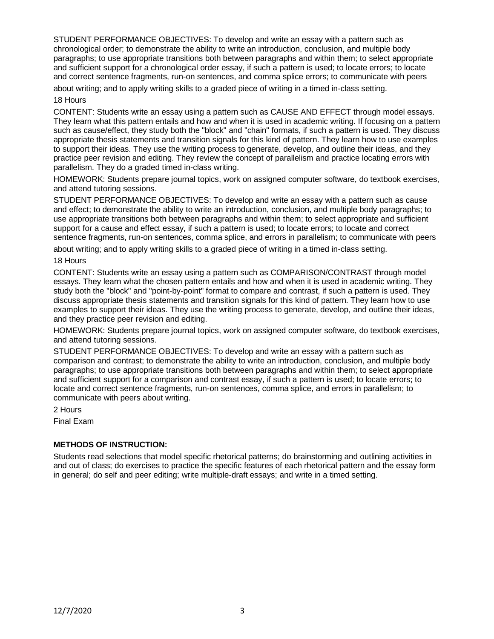STUDENT PERFORMANCE OBJECTIVES: To develop and write an essay with a pattern such as chronological order; to demonstrate the ability to write an introduction, conclusion, and multiple body paragraphs; to use appropriate transitions both between paragraphs and within them; to select appropriate and sufficient support for a chronological order essay, if such a pattern is used; to locate errors; to locate and correct sentence fragments, run-on sentences, and comma splice errors; to communicate with peers

about writing; and to apply writing skills to a graded piece of writing in a timed in-class setting.

18 Hours

CONTENT: Students write an essay using a pattern such as CAUSE AND EFFECT through model essays. They learn what this pattern entails and how and when it is used in academic writing. If focusing on a pattern such as cause/effect, they study both the "block" and "chain" formats, if such a pattern is used. They discuss appropriate thesis statements and transition signals for this kind of pattern. They learn how to use examples to support their ideas. They use the writing process to generate, develop, and outline their ideas, and they practice peer revision and editing. They review the concept of parallelism and practice locating errors with parallelism. They do a graded timed in-class writing.

HOMEWORK: Students prepare journal topics, work on assigned computer software, do textbook exercises, and attend tutoring sessions.

STUDENT PERFORMANCE OBJECTIVES: To develop and write an essay with a pattern such as cause and effect; to demonstrate the ability to write an introduction, conclusion, and multiple body paragraphs; to use appropriate transitions both between paragraphs and within them; to select appropriate and sufficient support for a cause and effect essay, if such a pattern is used; to locate errors; to locate and correct sentence fragments, run-on sentences, comma splice, and errors in parallelism; to communicate with peers

about writing; and to apply writing skills to a graded piece of writing in a timed in-class setting.

#### 18 Hours

CONTENT: Students write an essay using a pattern such as COMPARISON/CONTRAST through model essays. They learn what the chosen pattern entails and how and when it is used in academic writing. They study both the "block" and "point-by-point" format to compare and contrast, if such a pattern is used. They discuss appropriate thesis statements and transition signals for this kind of pattern. They learn how to use examples to support their ideas. They use the writing process to generate, develop, and outline their ideas, and they practice peer revision and editing.

HOMEWORK: Students prepare journal topics, work on assigned computer software, do textbook exercises, and attend tutoring sessions.

STUDENT PERFORMANCE OBJECTIVES: To develop and write an essay with a pattern such as comparison and contrast; to demonstrate the ability to write an introduction, conclusion, and multiple body paragraphs; to use appropriate transitions both between paragraphs and within them; to select appropriate and sufficient support for a comparison and contrast essay, if such a pattern is used; to locate errors; to locate and correct sentence fragments, run-on sentences, comma splice, and errors in parallelism; to communicate with peers about writing.

2 Hours

Final Exam

#### **METHODS OF INSTRUCTION:**

Students read selections that model specific rhetorical patterns; do brainstorming and outlining activities in and out of class; do exercises to practice the specific features of each rhetorical pattern and the essay form in general; do self and peer editing; write multiple-draft essays; and write in a timed setting.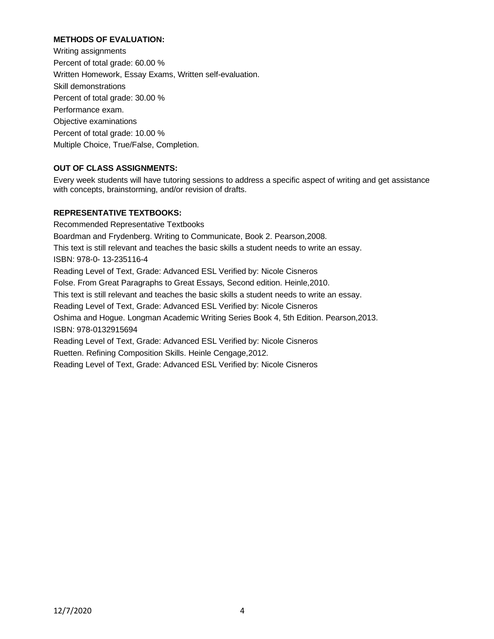# **METHODS OF EVALUATION:**

Writing assignments Percent of total grade: 60.00 % Written Homework, Essay Exams, Written self-evaluation. Skill demonstrations Percent of total grade: 30.00 % Performance exam. Objective examinations Percent of total grade: 10.00 % Multiple Choice, True/False, Completion.

# **OUT OF CLASS ASSIGNMENTS:**

Every week students will have tutoring sessions to address a specific aspect of writing and get assistance with concepts, brainstorming, and/or revision of drafts.

## **REPRESENTATIVE TEXTBOOKS:**

Recommended Representative Textbooks Boardman and Frydenberg. Writing to Communicate, Book 2. Pearson,2008. This text is still relevant and teaches the basic skills a student needs to write an essay. ISBN: 978-0- 13-235116-4 Reading Level of Text, Grade: Advanced ESL Verified by: Nicole Cisneros Folse. From Great Paragraphs to Great Essays, Second edition. Heinle,2010. This text is still relevant and teaches the basic skills a student needs to write an essay. Reading Level of Text, Grade: Advanced ESL Verified by: Nicole Cisneros Oshima and Hogue. Longman Academic Writing Series Book 4, 5th Edition. Pearson,2013. ISBN: 978-0132915694 Reading Level of Text, Grade: Advanced ESL Verified by: Nicole Cisneros Ruetten. Refining Composition Skills. Heinle Cengage,2012. Reading Level of Text, Grade: Advanced ESL Verified by: Nicole Cisneros